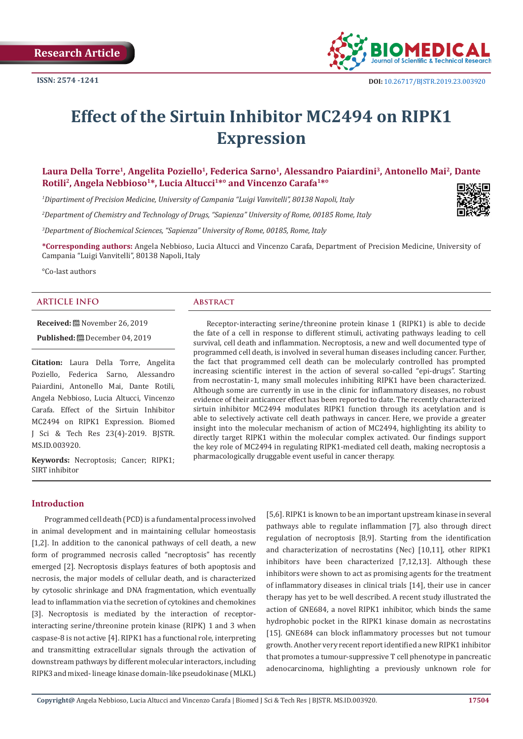

# **Effect of the Sirtuin Inhibitor MC2494 on RIPK1 Expression**

# Laura Della Torre<sup>1</sup>, Angelita Poziello<sup>1</sup>, Federica Sarno<sup>1</sup>, Alessandro Paiardini<sup>3</sup>, Antonello Mai<sup>2</sup>, Dante Rotili<sup>2</sup>, Angela Nebbioso<sup>1\*</sup>, Lucia Altucci<sup>1\*°</sup> and Vincenzo Carafa<sup>1\*°</sup>

*1 Dipartiment of Precision Medicine, University of Campania "Luigi Vanvitelli", 80138 Napoli, Italy* 

*2 Department of Chemistry and Technology of Drugs, "Sapienza" University of Rome, 00185 Rome, Italy* 

*3 Department of Biochemical Sciences, "Sapienza" University of Rome, 00185, Rome, Italy*

**\*Corresponding authors:** Angela Nebbioso, Lucia Altucci and Vincenzo Carafa, Department of Precision Medicine, University of Campania "Luigi Vanvitelli", 80138 Napoli, Italy

°Co-last authors

# **ARTICLE INFO Abstract**

**Received:** November 26, 2019

**Published:** December 04, 2019

**Citation:** Laura Della Torre, Angelita Poziello, Federica Sarno, Alessandro Paiardini, Antonello Mai, Dante Rotili, Angela Nebbioso, Lucia Altucci, Vincenzo Carafa. Effect of the Sirtuin Inhibitor MC2494 on RIPK1 Expression. Biomed J Sci & Tech Res 23(4)-2019. BJSTR. MS.ID.003920.

**Keywords:** Necroptosis; Cancer; RIPK1; SIRT inhibitor

Receptor-interacting serine/threonine protein kinase 1 (RIPK1) is able to decide the fate of a cell in response to different stimuli, activating pathways leading to cell survival, cell death and inflammation. Necroptosis, a new and well documented type of programmed cell death, is involved in several human diseases including cancer. Further, the fact that programmed cell death can be molecularly controlled has prompted increasing scientific interest in the action of several so-called "epi-drugs". Starting from necrostatin-1, many small molecules inhibiting RIPK1 have been characterized. Although some are currently in use in the clinic for inflammatory diseases, no robust evidence of their anticancer effect has been reported to date. The recently characterized sirtuin inhibitor MC2494 modulates RIPK1 function through its acetylation and is able to selectively activate cell death pathways in cancer. Here, we provide a greater insight into the molecular mechanism of action of MC2494, highlighting its ability to directly target RIPK1 within the molecular complex activated. Our findings support the key role of MC2494 in regulating RIPK1-mediated cell death, making necroptosis a pharmacologically druggable event useful in cancer therapy.

**Introduction**

Programmed cell death (PCD) is a fundamental process involved in animal development and in maintaining cellular homeostasis [1,2]. In addition to the canonical pathways of cell death, a new form of programmed necrosis called "necroptosis" has recently emerged [2]. Necroptosis displays features of both apoptosis and necrosis, the major models of cellular death, and is characterized by cytosolic shrinkage and DNA fragmentation, which eventually lead to inflammation via the secretion of cytokines and chemokines [3]. Necroptosis is mediated by the interaction of receptorinteracting serine/threonine protein kinase (RIPK) 1 and 3 when caspase-8 is not active [4]. RIPK1 has a functional role, interpreting and transmitting extracellular signals through the activation of downstream pathways by different molecular interactors, including RIPK3 and mixed- lineage kinase domain-like pseudokinase (MLKL)

[5,6]. RIPK1 is known to be an important upstream kinase in several pathways able to regulate inflammation [7], also through direct regulation of necroptosis [8,9]. Starting from the identification and characterization of necrostatins (Nec) [10,11], other RIPK1 inhibitors have been characterized [7,12,13]. Although these inhibitors were shown to act as promising agents for the treatment of inflammatory diseases in clinical trials [14], their use in cancer therapy has yet to be well described. A recent study illustrated the action of GNE684, a novel RIPK1 inhibitor, which binds the same hydrophobic pocket in the RIPK1 kinase domain as necrostatins [15]. GNE684 can block inflammatory processes but not tumour growth. Another very recent report identified a new RIPK1 inhibitor that promotes a tumour-suppressive T cell phenotype in pancreatic adenocarcinoma, highlighting a previously unknown role for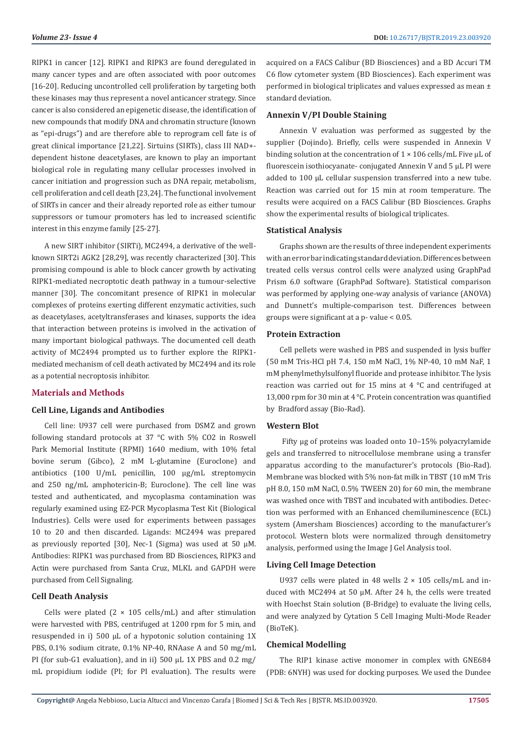RIPK1 in cancer [12]. RIPK1 and RIPK3 are found deregulated in many cancer types and are often associated with poor outcomes [16-20]. Reducing uncontrolled cell proliferation by targeting both these kinases may thus represent a novel anticancer strategy. Since cancer is also considered an epigenetic disease, the identification of new compounds that modify DNA and chromatin structure (known as "epi-drugs") and are therefore able to reprogram cell fate is of great clinical importance [21,22]. Sirtuins (SIRTs), class III NAD+ dependent histone deacetylases, are known to play an important biological role in regulating many cellular processes involved in cancer initiation and progression such as DNA repair, metabolism, cell proliferation and cell death [23,24]. The functional involvement of SIRTs in cancer and their already reported role as either tumour suppressors or tumour promoters has led to increased scientific interest in this enzyme family [25-27].

A new SIRT inhibitor (SIRTi), MC2494, a derivative of the wellknown SIRT2i AGK2 [28,29], was recently characterized [30]. This promising compound is able to block cancer growth by activating RIPK1-mediated necroptotic death pathway in a tumour-selective manner [30]. The concomitant presence of RIPK1 in molecular complexes of proteins exerting different enzymatic activities, such as deacetylases, acetyltransferases and kinases, supports the idea that interaction between proteins is involved in the activation of many important biological pathways. The documented cell death activity of MC2494 prompted us to further explore the RIPK1 mediated mechanism of cell death activated by MC2494 and its role as a potential necroptosis inhibitor.

#### **Materials and Methods**

#### **Cell Line, Ligands and Antibodies**

Cell line: U937 cell were purchased from DSMZ and grown following standard protocols at 37 °C with 5% CO2 in Roswell Park Memorial Institute (RPMI) 1640 medium, with 10% fetal bovine serum (Gibco), 2 mM L-glutamine (Euroclone) and antibiotics (100 U/mL penicillin, 100 μg/mL streptomycin and 250 ng/mL amphotericin-B; Euroclone). The cell line was tested and authenticated, and mycoplasma contamination was regularly examined using EZ-PCR Mycoplasma Test Kit (Biological Industries). Cells were used for experiments between passages 10 to 20 and then discarded. Ligands: MC2494 was prepared as previously reported [30], Nec-1 (Sigma) was used at 50 μM. Antibodies: RIPK1 was purchased from BD Biosciences, RIPK3 and Actin were purchased from Santa Cruz, MLKL and GAPDH were purchased from Cell Signaling.

# **Cell Death Analysis**

Cells were plated  $(2 \times 105 \text{ cells/mL})$  and after stimulation were harvested with PBS, centrifuged at 1200 rpm for 5 min, and resuspended in i) 500 µL of a hypotonic solution containing 1X PBS, 0.1% sodium citrate, 0.1% NP-40, RNAase A and 50 mg/mL PI (for sub-G1 evaluation), and in ii) 500 µL 1X PBS and 0.2 mg/ mL propidium iodide (PI; for PI evaluation). The results were

acquired on a FACS Calibur (BD Biosciences) and a BD Accuri TM C6 flow cytometer system (BD Biosciences). Each experiment was performed in biological triplicates and values expressed as mean ± standard deviation.

#### **Annexin V/PI Double Staining**

Annexin V evaluation was performed as suggested by the supplier (Dojindo). Briefly, cells were suspended in Annexin V binding solution at the concentration of  $1 \times 106$  cells/mL Five  $\mu$ L of fluorescein isothiocyanate- conjugated Annexin V and 5 μL PI were added to 100 μL cellular suspension transferred into a new tube. Reaction was carried out for 15 min at room temperature. The results were acquired on a FACS Calibur (BD Biosciences. Graphs show the experimental results of biological triplicates.

# **Statistical Analysis**

Graphs shown are the results of three independent experiments with an error bar indicating standard deviation. Differences between treated cells versus control cells were analyzed using GraphPad Prism 6.0 software (GraphPad Software). Statistical comparison was performed by applying one-way analysis of variance (ANOVA) and Dunnett's multiple-comparison test. Differences between groups were significant at a p- value < 0.05.

#### **Protein Extraction**

Cell pellets were washed in PBS and suspended in lysis buffer (50 mM Tris-HCl pH 7.4, 150 mM NaCl, 1% NP-40, 10 mM NaF, 1 mM phenylmethylsulfonyl fluoride and protease inhibitor. The lysis reaction was carried out for 15 mins at 4 °C and centrifuged at 13,000 rpm for 30 min at 4 °C. Protein concentration was quantified by Bradford assay (Bio-Rad).

# **Western Blot**

 Fifty μg of proteins was loaded onto 10–15% polyacrylamide gels and transferred to nitrocellulose membrane using a transfer apparatus according to the manufacturer's protocols (Bio-Rad). Membrane was blocked with 5% non-fat milk in TBST (10 mM Tris pH 8.0, 150 mM NaCl, 0.5% TWEEN 20) for 60 min, the membrane was washed once with TBST and incubated with antibodies. Detection was performed with an Enhanced chemiluminescence (ECL) system (Amersham Biosciences) according to the manufacturer's protocol. Western blots were normalized through densitometry analysis, performed using the Image J Gel Analysis tool.

#### **Living Cell Image Detection**

U937 cells were plated in 48 wells  $2 \times 105$  cells/mL and induced with MC2494 at 50 μM. After 24 h, the cells were treated with Hoechst Stain solution (B-Bridge) to evaluate the living cells. and were analyzed by Cytation 5 Cell Imaging Multi-Mode Reader (BioTeK).

#### **Chemical Modelling**

The RIP1 kinase active monomer in complex with GNE684 (PDB: 6NYH) was used for docking purposes. We used the Dundee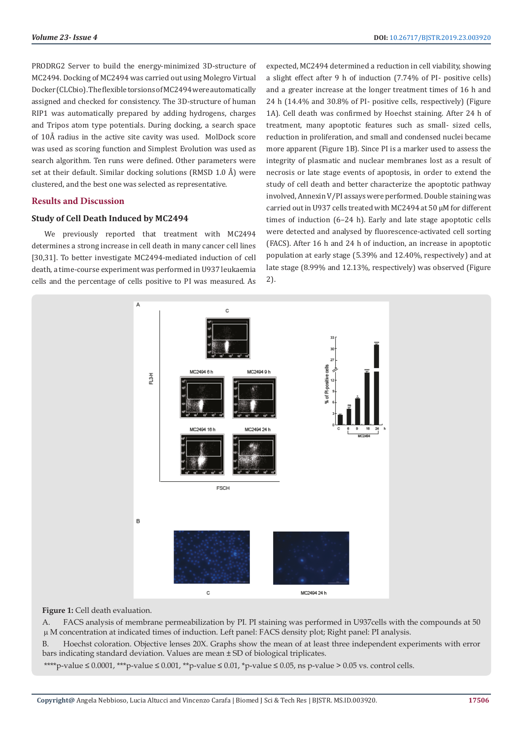PRODRG2 Server to build the energy-minimized 3D-structure of MC2494. Docking of MC2494 was carried out using Molegro Virtual Docker (CLCbio). The flexible torsions of MC2494 were automatically assigned and checked for consistency. The 3D-structure of human RIP1 was automatically prepared by adding hydrogens, charges and Tripos atom type potentials. During docking, a search space of 10Å radius in the active site cavity was used. MolDock score was used as scoring function and Simplest Evolution was used as search algorithm. Ten runs were defined. Other parameters were set at their default. Similar docking solutions (RMSD 1.0 Å) were clustered, and the best one was selected as representative.

# **Results and Discussion**

# **Study of Cell Death Induced by MC2494**

We previously reported that treatment with MC2494 determines a strong increase in cell death in many cancer cell lines [30,31]. To better investigate MC2494-mediated induction of cell death, a time-course experiment was performed in U937 leukaemia cells and the percentage of cells positive to PI was measured. As expected, MC2494 determined a reduction in cell viability, showing a slight effect after 9 h of induction (7.74% of PI- positive cells) and a greater increase at the longer treatment times of 16 h and 24 h (14.4% and 30.8% of PI- positive cells, respectively) (Figure 1A). Cell death was confirmed by Hoechst staining. After 24 h of treatment, many apoptotic features such as small- sized cells, reduction in proliferation, and small and condensed nuclei became more apparent (Figure 1B). Since PI is a marker used to assess the integrity of plasmatic and nuclear membranes lost as a result of necrosis or late stage events of apoptosis, in order to extend the study of cell death and better characterize the apoptotic pathway involved, Annexin V/PI assays were performed. Double staining was carried out in U937 cells treated with MC2494 at 50 μM for different times of induction (6–24 h). Early and late stage apoptotic cells were detected and analysed by fluorescence-activated cell sorting (FACS). After 16 h and 24 h of induction, an increase in apoptotic population at early stage (5.39% and 12.40%, respectively) and at late stage (8.99% and 12.13%, respectively) was observed (Figure 2).



# **Figure 1:** Cell death evaluation.

A. FACS analysis of membrane permeabilization by PI. PI staining was performed in U937cells with the compounds at 50 M concentration at indicated times of induction. Left panel: FACS density plot; Right panel: PI analysis.

B. Hoechst coloration. Objective lenses 20X. Graphs show the mean of at least three independent experiments with error bars indicating standard deviation. Values are mean ± SD of biological triplicates.

\*\*\*\*p-value ≤ 0.0001, \*\*\*p-value ≤ 0.001, \*\*p-value ≤ 0.01, \*p-value ≤ 0.05, ns p-value > 0.05 vs. control cells.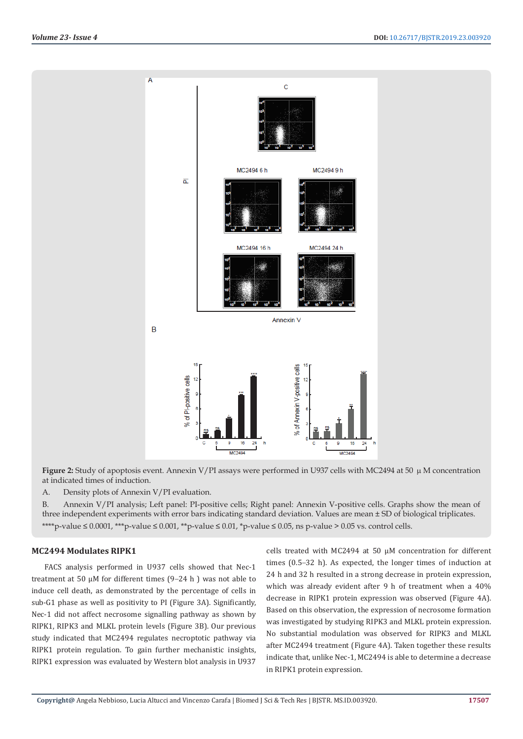

**Figure 2:** Study of apoptosis event. Annexin V/PI assays were performed in U937 cells with MC2494 at 50  $\mu$  M concentration at indicated times of induction.

A. Density plots of Annexin V/PI evaluation.

B. Annexin V/PI analysis; Left panel: PI-positive cells; Right panel: Annexin V-positive cells. Graphs show the mean of three independent experiments with error bars indicating standard deviation. Values are mean ± SD of biological triplicates. \*\*\*\*p-value  $\leq 0.0001$ , \*\*\*p-value  $\leq 0.001$ , \*\*p-value  $\leq 0.01$ , \*p-value  $\leq 0.05$ , ns p-value  $\geq 0.05$  vs. control cells.

# **MC2494 Modulates RIPK1**

FACS analysis performed in U937 cells showed that Nec-1 treatment at 50 μM for different times  $(9-24 h)$  was not able to induce cell death, as demonstrated by the percentage of cells in sub-G1 phase as well as positivity to PI (Figure 3A). Significantly, Nec-1 did not affect necrosome signalling pathway as shown by RIPK1, RIPK3 and MLKL protein levels (Figure 3B). Our previous study indicated that MC2494 regulates necroptotic pathway via RIPK1 protein regulation. To gain further mechanistic insights, RIPK1 expression was evaluated by Western blot analysis in U937

cells treated with MC2494 at 50 μM concentration for different times (0.5–32 h). As expected, the longer times of induction at 24 h and 32 h resulted in a strong decrease in protein expression, which was already evident after 9 h of treatment when a 40% decrease in RIPK1 protein expression was observed (Figure 4A). Based on this observation, the expression of necrosome formation was investigated by studying RIPK3 and MLKL protein expression. No substantial modulation was observed for RIPK3 and MLKL after MC2494 treatment (Figure 4A). Taken together these results indicate that, unlike Nec-1, MC2494 is able to determine a decrease in RIPK1 protein expression.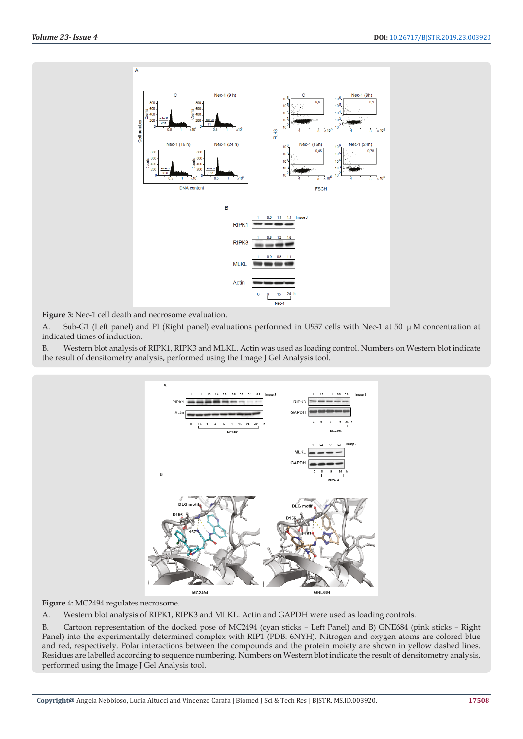

**Figure 3:** Nec-1 cell death and necrosome evaluation.

A. Sub-G1 (Left panel) and PI (Right panel) evaluations performed in U937 cells with Nec-1 at 50  $\mu$  M concentration at indicated times of induction.

B. Western blot analysis of RIPK1, RIPK3 and MLKL. Actin was used as loading control. Numbers on Western blot indicate the result of densitometry analysis, performed using the Image J Gel Analysis tool.



**Figure 4:** MC2494 regulates necrosome.

A. Western blot analysis of RIPK1, RIPK3 and MLKL. Actin and GAPDH were used as loading controls.

B. Cartoon representation of the docked pose of MC2494 (cyan sticks – Left Panel) and B) GNE684 (pink sticks – Right Panel) into the experimentally determined complex with RIP1 (PDB: 6NYH). Nitrogen and oxygen atoms are colored blue and red, respectively. Polar interactions between the compounds and the protein moiety are shown in yellow dashed lines. Residues are labelled according to sequence numbering. Numbers on Western blot indicate the result of densitometry analysis, performed using the Image J Gel Analysis tool.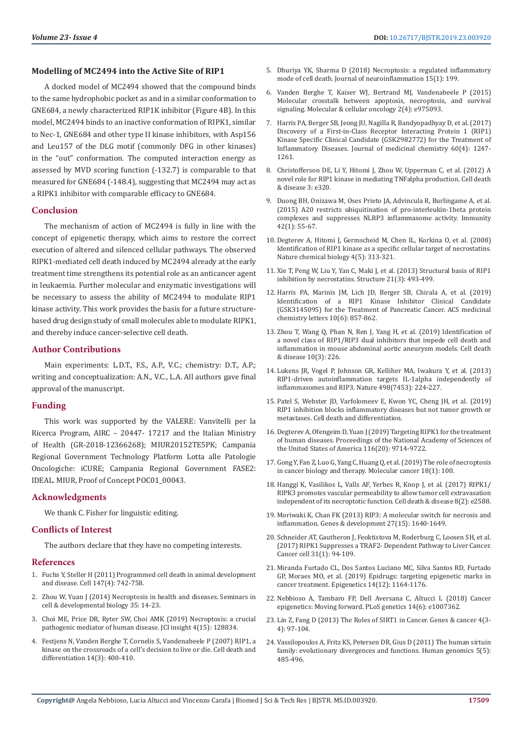#### **Modelling of MC2494 into the Active Site of RIP1**

A docked model of MC2494 showed that the compound binds to the same hydrophobic pocket as and in a similar conformation to GNE684, a newly characterized RIP1K inhibitor (Figure 4B). In this model, MC2494 binds to an inactive conformation of RIPK1, similar to Nec-1, GNE684 and other type II kinase inhibitors, with Asp156 and Leu157 of the DLG motif (commonly DFG in other kinases) in the "out" conformation. The computed interaction energy as assessed by MVD scoring function (-132.7) is comparable to that measured for GNE684 (-148.4), suggesting that MC2494 may act as a RIPK1 inhibitor with comparable efficacy to GNE684.

#### **Conclusion**

The mechanism of action of MC2494 is fully in line with the concept of epigenetic therapy, which aims to restore the correct execution of altered and silenced cellular pathways. The observed RIPK1-mediated cell death induced by MC2494 already at the early treatment time strengthens its potential role as an anticancer agent in leukaemia. Further molecular and enzymatic investigations will be necessary to assess the ability of MC2494 to modulate RIP1 kinase activity. This work provides the basis for a future structurebased drug design study of small molecules able to modulate RIPK1, and thereby induce cancer-selective cell death.

# **Author Contributions**

Main experiments: L.D.T., F.S., A.P., V.C.; chemistry: D.T., A.P.; writing and conceptualization: A.N., V.C., L.A. All authors gave final approval of the manuscript.

#### **Funding**

This work was supported by the VALERE: Vanvitelli per la Ricerca Program, AIRC – 20447- 17217 and the Italian Ministry of Health (GR-2018-12366268); MIUR20152TE5PK; Campania Regional Government Technology Platform Lotta alle Patologie Oncologiche: iCURE; Campania Regional Government FASE2: IDEAL. MIUR, Proof of Concept POC01\_00043.

#### **Acknowledgments**

We thank C. Fisher for linguistic editing.

# **Conflicts of Interest**

The authors declare that they have no competing interests.

#### **References**

- 1. [Fuchs Y, Steller H \(2011\) Programmed cell death in animal development](https://www.ncbi.nlm.nih.gov/pubmed/22078876)  [and disease. Cell 147\(4\): 742-758.](https://www.ncbi.nlm.nih.gov/pubmed/22078876)
- 2. [Zhou W, Yuan J \(2014\) Necroptosis in health and diseases. Seminars in](https://www.ncbi.nlm.nih.gov/pubmed/25087983)  [cell & developmental biology 35: 14-23.](https://www.ncbi.nlm.nih.gov/pubmed/25087983)
- 3. [Choi ME, Price DR, Ryter SW, Choi AMK \(2019\) Necroptosis: a crucial](https://www.ncbi.nlm.nih.gov/pubmed/31391333)  [pathogenic mediator of human disease. JCI insight 4\(15\): 128834.](https://www.ncbi.nlm.nih.gov/pubmed/31391333)
- 4. [Festjens N, Vanden Berghe T, Cornelis S, Vandenabeele P \(2007\) RIP1, a](https://www.ncbi.nlm.nih.gov/pubmed/17301840)  [kinase on the crossroads of a cell's decision to live or die. Cell death and](https://www.ncbi.nlm.nih.gov/pubmed/17301840)  [differentiation 14\(3\): 400-410.](https://www.ncbi.nlm.nih.gov/pubmed/17301840)
- 5. [Dhuriya YK, Sharma D \(2018\) Necroptosis: a regulated inflammatory](https://www.ncbi.nlm.nih.gov/pubmed/29980212) [mode of cell death. Journal of neuroinflammation 15\(1\): 199.](https://www.ncbi.nlm.nih.gov/pubmed/29980212)
- 6. [Vanden Berghe T, Kaiser WJ, Bertrand MJ, Vandenabeele P \(2015\)](https://www.ncbi.nlm.nih.gov/pubmed/27308513) [Molecular crosstalk between apoptosis, necroptosis, and survival](https://www.ncbi.nlm.nih.gov/pubmed/27308513) [signaling. Molecular & cellular oncology 2\(4\): e975093.](https://www.ncbi.nlm.nih.gov/pubmed/27308513)
- 7. [Harris PA, Berger SB, Jeong JU, Nagilla R, Bandyopadhyay D, et al. \(2017\)](https://www.ncbi.nlm.nih.gov/pubmed/28151659) [Discovery of a First-in-Class Receptor Interacting Protein 1 \(RIP1\)](https://www.ncbi.nlm.nih.gov/pubmed/28151659) [Kinase Specific Clinical Candidate \(GSK2982772\) for the Treatment of](https://www.ncbi.nlm.nih.gov/pubmed/28151659) [Inflammatory Diseases. Journal of medicinal chemistry 60\(4\): 1247-](https://www.ncbi.nlm.nih.gov/pubmed/28151659) [1261.](https://www.ncbi.nlm.nih.gov/pubmed/28151659)
- 8. [Christofferson DE, Li Y, Hitomi J, Zhou W, Upperman C, et al. \(2012\) A](https://www.ncbi.nlm.nih.gov/pubmed/22695613) [novel role for RIP1 kinase in mediating TNFalpha production. Cell death](https://www.ncbi.nlm.nih.gov/pubmed/22695613) [& disease 3: e320.](https://www.ncbi.nlm.nih.gov/pubmed/22695613)
- 9. [Duong BH, Onizawa M, Oses Prieto JA, Advincula R, Burlingame A, et al.](https://www.ncbi.nlm.nih.gov/pubmed/25607459) [\(2015\) A20 restricts ubiquitination of pro-interleukin-1beta protein](https://www.ncbi.nlm.nih.gov/pubmed/25607459) [complexes and suppresses NLRP3 inflammasome activity. Immunity](https://www.ncbi.nlm.nih.gov/pubmed/25607459) [42\(1\): 55-67.](https://www.ncbi.nlm.nih.gov/pubmed/25607459)
- 10. [Degterev A, Hitomi J, Germscheid M, Chen IL, Korkina O, et al. \(2008\)](https://www.ncbi.nlm.nih.gov/pubmed/18408713) [Identification of RIP1 kinase as a specific cellular target of necrostatins.](https://www.ncbi.nlm.nih.gov/pubmed/18408713) [Nature chemical biology 4\(5\): 313-321.](https://www.ncbi.nlm.nih.gov/pubmed/18408713)
- 11. [Xie T, Peng W, Liu Y, Yan C, Maki J, et al. \(2013\) Structural basis of RIP1](https://www.ncbi.nlm.nih.gov/pubmed/23473668) [inhibition by necrostatins. Structure 21\(3\): 493-499.](https://www.ncbi.nlm.nih.gov/pubmed/23473668)
- 12. [Harris PA, Marinis JM, Lich JD, Berger SB, Chirala A, et al. \(2019\)](https://pubs.acs.org/doi/full/10.1021/acsmedchemlett.9b00108) [Identification of a RIP1 Kinase Inhibitor Clinical Candidate](https://pubs.acs.org/doi/full/10.1021/acsmedchemlett.9b00108) [\(GSK3145095\) for the Treatment of Pancreatic Cancer. ACS medicinal](https://pubs.acs.org/doi/full/10.1021/acsmedchemlett.9b00108) [chemistry letters 10\(6\): 857-862.](https://pubs.acs.org/doi/full/10.1021/acsmedchemlett.9b00108)
- 13. [Zhou T, Wang Q, Phan N, Ren J, Yang H, et al. \(2019\) Identification of](https://www.ncbi.nlm.nih.gov/pubmed/30842407) [a novel class of RIP1/RIP3 dual inhibitors that impede cell death and](https://www.ncbi.nlm.nih.gov/pubmed/30842407) [inflammation in mouse abdominal aortic aneurysm models. Cell death](https://www.ncbi.nlm.nih.gov/pubmed/30842407) [& disease 10\(3\): 226.](https://www.ncbi.nlm.nih.gov/pubmed/30842407)
- 14. [Lukens JR, Vogel P, Johnson GR, Kelliher MA, Iwakura Y, et al. \(2013\)](https://www.ncbi.nlm.nih.gov/pubmed/23708968) [RIP1-driven autoinflammation targets IL-1alpha independently of](https://www.ncbi.nlm.nih.gov/pubmed/23708968) [inflammasomes and RIP3. Nature 498\(7453\): 224-227.](https://www.ncbi.nlm.nih.gov/pubmed/23708968)
- 15. [Patel S, Webster JD, Varfolomeev E, Kwon YC, Cheng JH, et al. \(2019\)](https://www.nature.com/articles/s41418-019-0347-0) [RIP1 inhibition blocks inflammatory diseases but not tumor growth or](https://www.nature.com/articles/s41418-019-0347-0) [metastases. Cell death and differentiation.](https://www.nature.com/articles/s41418-019-0347-0)
- 16. [Degterev A, Ofengeim D, Yuan J \(2019\) Targeting RIPK1 for the treatment](https://www.pnas.org/content/116/20/9714) [of human diseases. Proceedings of the National Academy of Sciences of](https://www.pnas.org/content/116/20/9714) [the United States of America 116\(20\): 9714-9722.](https://www.pnas.org/content/116/20/9714)
- 17. [Gong Y, Fan Z, Luo G, Yang C, Huang Q, et al. \(2019\) The role of necroptosis](https://www.ncbi.nlm.nih.gov/pubmed/31122251) [in cancer biology and therapy. Molecular cancer 18\(1\): 100.](https://www.ncbi.nlm.nih.gov/pubmed/31122251)
- 18. [Hanggi K, Vasilikos L, Valls AF, Yerbes R, Knop J, et al. \(2017\) RIPK1/](https://www.ncbi.nlm.nih.gov/pmc/articles/PMC5386469/) [RIPK3 promotes vascular permeability to allow tumor cell extravasation](https://www.ncbi.nlm.nih.gov/pmc/articles/PMC5386469/) [independent of its necroptotic function. Cell death & disease 8\(2\): e2588.](https://www.ncbi.nlm.nih.gov/pmc/articles/PMC5386469/)
- 19. [Moriwaki K, Chan FK \(2013\) RIP3: A molecular switch for necrosis and](https://www.ncbi.nlm.nih.gov/pubmed/23913919) [inflammation. Genes & development 27\(15\): 1640-1649.](https://www.ncbi.nlm.nih.gov/pubmed/23913919)
- 20. [Schneider AT, Gautheron J, Feoktistova M, Roderburg C, Loosen SH, et al.](https://www.ncbi.nlm.nih.gov/pubmed/28017612) [\(2017\) RIPK1 Suppresses a TRAF2- Dependent Pathway to Liver Cancer.](https://www.ncbi.nlm.nih.gov/pubmed/28017612) [Cancer cell 31\(1\): 94-109.](https://www.ncbi.nlm.nih.gov/pubmed/28017612)
- 21. [Miranda Furtado CL, Dos Santos Luciano MC, Silva Santos RD, Furtado](https://www.tandfonline.com/doi/abs/10.1080/15592294.2019.1640546?journalCode=kepi20) [GP, Moraes MO, et al. \(2019\) Epidrugs: targeting epigenetic marks in](https://www.tandfonline.com/doi/abs/10.1080/15592294.2019.1640546?journalCode=kepi20) [cancer treatment. Epigenetics 14\(12\): 1164-1176.](https://www.tandfonline.com/doi/abs/10.1080/15592294.2019.1640546?journalCode=kepi20)
- 22. [Nebbioso A, Tambaro FP, Dell Aversana C, Altucci L \(2018\) Cancer](https://www.ncbi.nlm.nih.gov/pubmed/29879107) [epigenetics: Moving forward. PLoS genetics 14\(6\): e1007362.](https://www.ncbi.nlm.nih.gov/pubmed/29879107)
- 23. [Lin Z, Fang D \(2013\) The Roles of SIRT1 in Cancer. Genes & cancer 4\(3-](https://www.ncbi.nlm.nih.gov/pmc/articles/PMC3764469/) [4\): 97-104.](https://www.ncbi.nlm.nih.gov/pmc/articles/PMC3764469/)
- 24. [Vassilopoulos A, Fritz KS, Petersen DR, Gius D \(2011\) The human sirtuin](https://www.ncbi.nlm.nih.gov/pubmed/21807603) [family: evolutionary divergences and functions. Human genomics 5\(5\):](https://www.ncbi.nlm.nih.gov/pubmed/21807603) [485-496.](https://www.ncbi.nlm.nih.gov/pubmed/21807603)